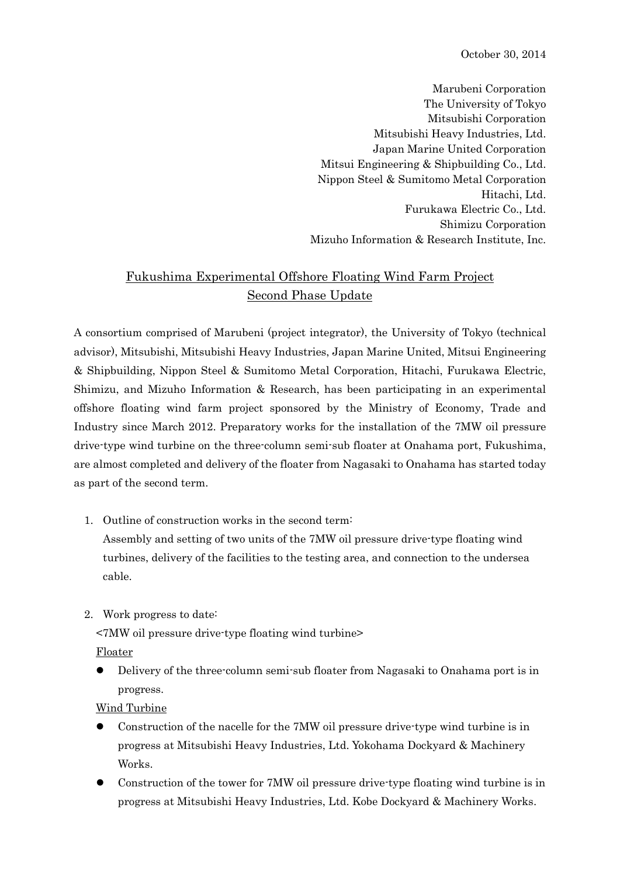October 30, 2014

Marubeni Corporation The University of Tokyo Mitsubishi Corporation Mitsubishi Heavy Industries, Ltd. Japan Marine United Corporation Mitsui Engineering & Shipbuilding Co., Ltd. Nippon Steel & Sumitomo Metal Corporation Hitachi, Ltd. Furukawa Electric Co., Ltd. Shimizu Corporation Mizuho Information & Research Institute, Inc.

## Fukushima Experimental Offshore Floating Wind Farm Project Second Phase Update

A consortium comprised of Marubeni (project integrator), the University of Tokyo (technical advisor), Mitsubishi, Mitsubishi Heavy Industries, Japan Marine United, Mitsui Engineering & Shipbuilding, Nippon Steel & Sumitomo Metal Corporation, Hitachi, Furukawa Electric, Shimizu, and Mizuho Information & Research, has been participating in an experimental offshore floating wind farm project sponsored by the Ministry of Economy, Trade and Industry since March 2012. Preparatory works for the installation of the 7MW oil pressure drive-type wind turbine on the three-column semi-sub floater at Onahama port, Fukushima, are almost completed and delivery of the floater from Nagasaki to Onahama has started today as part of the second term.

1. Outline of construction works in the second term:

Assembly and setting of two units of the 7MW oil pressure drive-type floating wind turbines, delivery of the facilities to the testing area, and connection to the undersea cable.

2. Work progress to date:

<7MW oil pressure drive-type floating wind turbine>

Floater

 Delivery of the three-column semi-sub floater from Nagasaki to Onahama port is in progress.

Wind Turbine

- Construction of the nacelle for the 7MW oil pressure drive-type wind turbine is in progress at Mitsubishi Heavy Industries, Ltd. Yokohama Dockyard & Machinery Works.
- Construction of the tower for 7MW oil pressure drive-type floating wind turbine is in progress at Mitsubishi Heavy Industries, Ltd. Kobe Dockyard & Machinery Works.